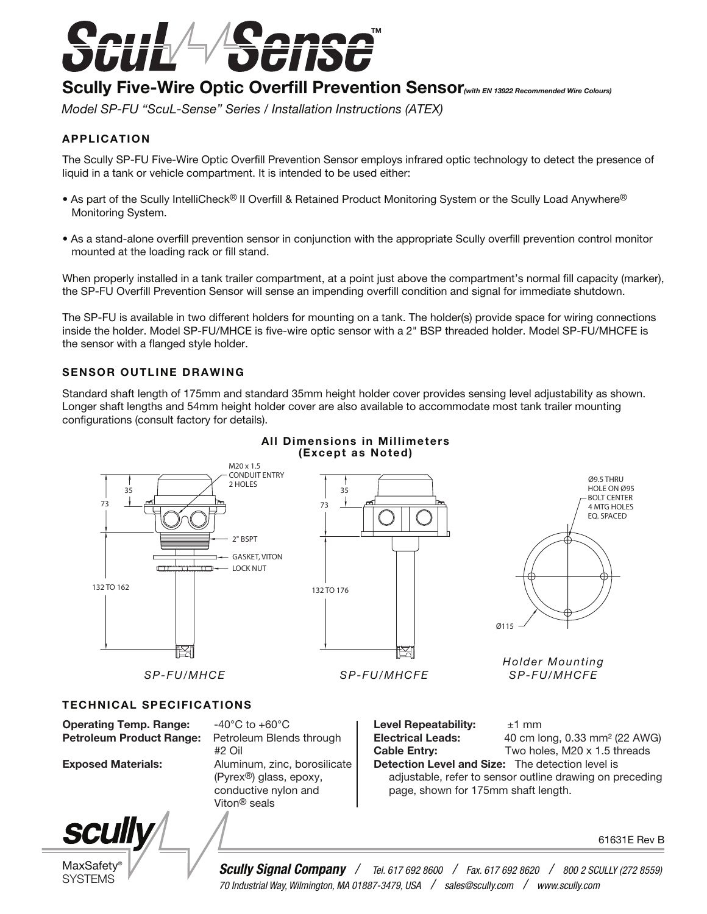

# Scully Five-Wire Optic Overfill Prevention Sensor<sub>(with EN 13922 Recommended Wire Colours)</sub>

*Model SP-FU "ScuL-Sense" Series / Installation Instructions (ATEX)*

### APPLICATION

The Scully SP-FU Five-Wire Optic Overfill Prevention Sensor employs infrared optic technology to detect the presence of liquid in a tank or vehicle compartment. It is intended to be used either:

- As part of the Scully IntelliCheck® II Overfill & Retained Product Monitoring System or the Scully Load Anywhere® Monitoring System.
- As a stand-alone overfill prevention sensor in conjunction with the appropriate Scully overfill prevention control monitor mounted at the loading rack or fill stand.

When properly installed in a tank trailer compartment, at a point just above the compartment's normal fill capacity (marker), the SP-FU Overfill Prevention Sensor will sense an impending overfill condition and signal for immediate shutdown.

The SP-FU is available in two different holders for mounting on a tank. The holder(s) provide space for wiring connections inside the holder. Model SP-FU/MHCE is five-wire optic sensor with a 2" BSP threaded holder. Model SP-FU/MHCFE is the sensor with a flanged style holder.

#### SENSOR OUTLINE DRAWING

Standard shaft length of 175mm and standard 35mm height holder cover provides sensing level adjustability as shown. Longer shaft lengths and 54mm height holder cover are also available to accommodate most tank trailer mounting configurations (consult factory for details).



### All Dimensions in Millimeters (Except as Noted)

61631E Rev B

MaxSafety<sup>®</sup> SYSTEMS

**SCUIIV** 

*Scully Signal Company / Tel. 617 692 8600 / Fax. 617 692 8620 / 800 2 SCULLY (272 8559) 70 Industrial Way, Wilmington, MA 01887-3479, USA / sales@scully.com / www.scully.com*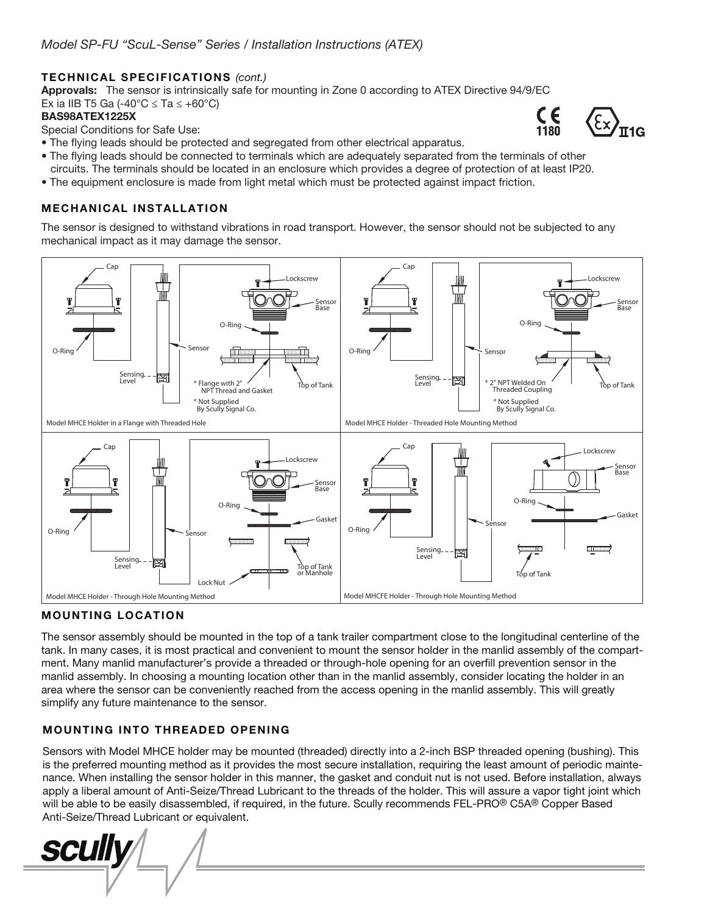### TECHNICAL SPECIFICATIONS *(cont.)*

Approvals: The sensor is intrinsically safe for mounting in Zone 0 according to ATEX Directive 94/9/EC Ex ia IIB T5 Ga (-40 $^{\circ}$ C  $\leq$  Ta  $\leq$  +60 $^{\circ}$ C)

#### BAS98ATEX1225X

Special Conditions for Safe Use:

- The flying leads should be protected and segregated from other electrical apparatus.
- The flying leads should be connected to terminals which are adequately separated from the terminals of other circuits. The terminals should be located in an enclosure which provides a degree of protection of at least IP20.
- The equipment enclosure is made from light metal which must be protected against impact friction.

# MECHANICAL INSTALLATION

The sensor is designed to withstand vibrations in road transport. However, the sensor should not be subjected to any mechanical impact as it may damage the sensor.



# MOUNTING LOCATION

The sensor assembly should be mounted in the top of a tank trailer compartment close to the longitudinal centerline of the tank. In many cases, it is most practical and convenient to mount the sensor holder in the manlid assembly of the compartment. Many manlid manufacturer's provide a threaded or through-hole opening for an overfill prevention sensor in the manlid assembly. In choosing a mounting location other than in the manlid assembly, consider locating the holder in an area where the sensor can be conveniently reached from the access opening in the manlid assembly. This will greatly simplify any future maintenance to the sensor.

# MOUNTING INTO THREADED OPENING

Sensors with Model MHCE holder may be mounted (threaded) directly into a 2-inch BSP threaded opening (bushing). This is the preferred mounting method as it provides the most secure installation, requiring the least amount of periodic maintenance. When installing the sensor holder in this manner, the gasket and conduit nut is not used. Before installation, always apply a liberal amount of Anti-Seize/Thread Lubricant to the threads of the holder. This will assure a vapor tight joint which will be able to be easily disassembled, if required, in the future. Scully recommends FEL-PRO® C5A® Copper Based Anti-Seize/Thread Lubricant or equivalent.

*SCUII* 

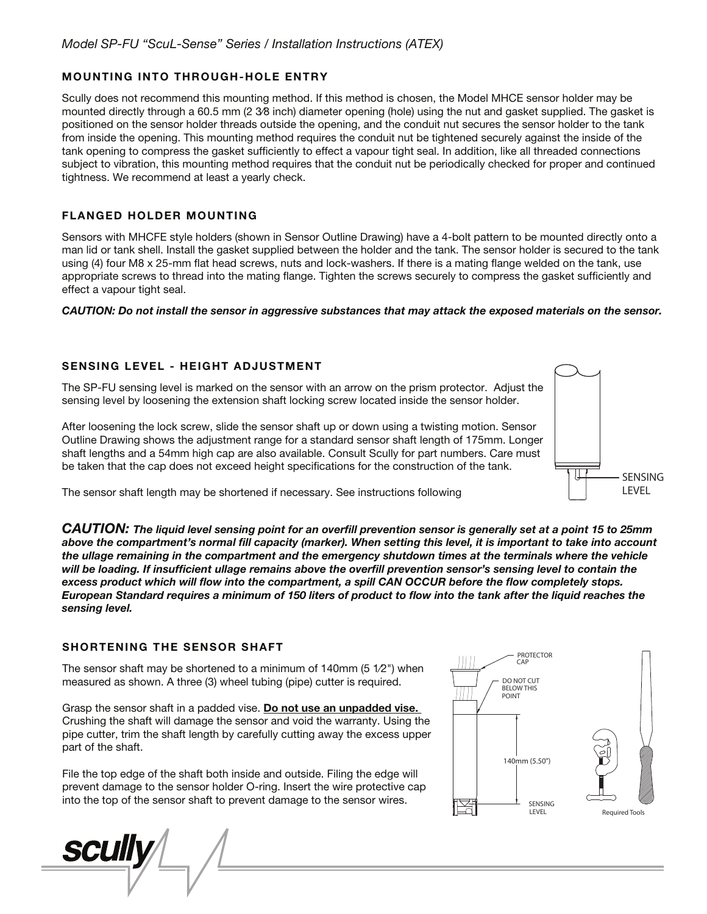### MOUNTING INTO THROUGH-HOLE ENTRY

Scully does not recommend this mounting method. If this method is chosen, the Model MHCE sensor holder may be mounted directly through a 60.5 mm (2 3⁄8 inch) diameter opening (hole) using the nut and gasket supplied. The gasket is positioned on the sensor holder threads outside the opening, and the conduit nut secures the sensor holder to the tank from inside the opening. This mounting method requires the conduit nut be tightened securely against the inside of the tank opening to compress the gasket sufficiently to effect a vapour tight seal. In addition, like all threaded connections subject to vibration, this mounting method requires that the conduit nut be periodically checked for proper and continued tightness. We recommend at least a yearly check.

### FLANGED HOLDER MOUNTING

Sensors with MHCFE style holders (shown in Sensor Outline Drawing) have a 4-bolt pattern to be mounted directly onto a man lid or tank shell. Install the gasket supplied between the holder and the tank. The sensor holder is secured to the tank using (4) four M8 x 25-mm flat head screws, nuts and lock-washers. If there is a mating flange welded on the tank, use appropriate screws to thread into the mating flange. Tighten the screws securely to compress the gasket sufficiently and effect a vapour tight seal.

#### *CAUTION: Do not install the sensor in aggressive substances that may attack the exposed materials on the sensor.*

#### SENSING LEVEL - HEIGHT ADJUSTMENT

The SP-FU sensing level is marked on the sensor with an arrow on the prism protector. Adjust the sensing level by loosening the extension shaft locking screw located inside the sensor holder.

After loosening the lock screw, slide the sensor shaft up or down using a twisting motion. Sensor Outline Drawing shows the adjustment range for a standard sensor shaft length of 175mm. Longer shaft lengths and a 54mm high cap are also available. Consult Scully for part numbers. Care must be taken that the cap does not exceed height specifications for the construction of the tank.



The sensor shaft length may be shortened if necessary. See instructions following

*CAUTION: The liquid level sensing point for an overll prevention sensor is generally set at a point 15 to 25mm*  above the compartment's normal fill capacity (marker). When setting this level, it is important to take into account *the ullage remaining in the compartment and the emergency shutdown times at the terminals where the vehicle*  will be loading. If insufficient ullage remains above the overfill prevention sensor's sensing level to contain the *excess product which will flow into the compartment, a spill CAN OCCUR before the flow completely stops. European Standard requires a minimum of 150 liters of product to flow into the tank after the liquid reaches the sensing level.*

#### SHORTENING THE SENSOR SHAFT

The sensor shaft may be shortened to a minimum of 140mm (5 1⁄2") when measured as shown. A three (3) wheel tubing (pipe) cutter is required.

Grasp the sensor shaft in a padded vise. Do not use an unpadded vise. Crushing the shaft will damage the sensor and void the warranty. Using the pipe cutter, trim the shaft length by carefully cutting away the excess upper part of the shaft.

File the top edge of the shaft both inside and outside. Filing the edge will prevent damage to the sensor holder O-ring. Insert the wire protective cap into the top of the sensor shaft to prevent damage to the sensor wires.